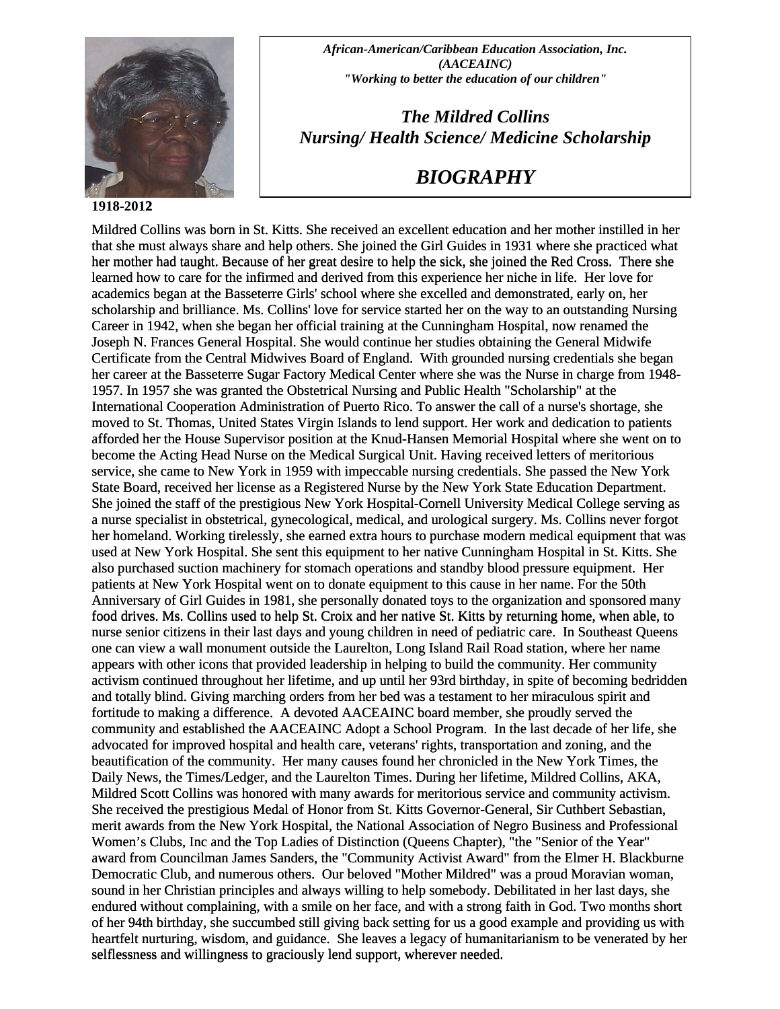

## **1 918-2012**

*African-American/Caribbean Education Association, Inc. (AACEAINC) "Working to better the education of our children"* 

*The Mildred Collins Nursing/ Health Science/ Medicine Scholarship* 

## *BIOGRAPHY*

Mildred Collins was born in St. Kitts. She received an excellent education and her mother instilled in her that she must always share and help others. She joined the Girl Guides in 1931 where she practiced what her mother had taught. Because of her great desire to help the sick, she joined the Red Cross. There she learned how to care for the infirmed and derived from this experience her niche in life. Her love for academics began at the Basseterre Girls' school where she excelled and demonstrated, early on, her scholarship and brilliance. Ms. Collins' love for service started her on the way to an outstanding Nursing Career in 1942, when she began her official training at the Cunningham Hospital, now renamed the Joseph N. Frances General Hospital. She would continue her studies obtaining the General Midwife Certificate from the Central Midwives Board of England. With grounded nursing credentials she began her career at the Basseterre Sugar Factory Medical Center where she was the Nurse in charge from 1948- 1957. In 1957 she was granted the Obstetrical Nursing and Public Health "Scholarship" at the International Cooperation Administration of Puerto Rico. To answer the call of a nurse's shortage, she moved to St. Thomas, United States Virgin Islands to lend support. Her work and dedication to patients afforded her the House Supervisor position at the Knud-Hansen Memorial Hospital where she went on to become the Acting Head Nurse on the Medical Surgical Unit. Having received letters of meritorious service, she came to New York in 1959 with impeccable nursing credentials. She passed the New York State Board, received her license as a Registered Nurse by the New York State Education Department. She joined the staff of the prestigious New York Hospital-Cornell University Medical College serving as a nurse specialist in obstetrical, gynecological, medical, and urological surgery. Ms. Collins never forgot her homeland. Working tirelessly, she earned extra hours to purchase modern medical equipment that was used at New York Hospital. She sent this equipment to her native Cunningham Hospital in St. Kitts. She also purchased suction machinery for stomach operations and standby blood pressure equipment. Her patients at New York Hospital went on to donate equipment to this cause in her name. For the 50th Anniversary of Girl Guides in 1981, she personally donated toys to the organization and sponsored many food drives. Ms. Collins used to help St. Croix and her native St. Kitts by returning home, when able, to nurse senior citizens in their last days and young children in need of pediatric care. In Southeast Queens one can view a wall monument outside the Laurelton, Long Island Rail Road station, where her name appears with other icons that provided leadership in helping to build the community. Her community activism continued throughout her lifetime, and up until her 93rd birthday, in spite of becoming bedridden and totally blind. Giving marching orders from her bed was a testament to her miraculous spirit and fortitude to making a difference. A devoted AACEAINC board member, she proudly served the community and established the AACEAINC Adopt a School Program. In the last decade of her life, she advocated for improved hospital and health care, veterans' rights, transportation and zoning, and the beautification of the community. Her many causes found her chronicled in the New York Times, the Daily News, the Times/Ledger, and the Laurelton Times. During her lifetime, Mildred Collins, AKA, Mildred Scott Collins was honored with many awards for meritorious service and community activism. She received the prestigious Medal of Honor from St. Kitts Governor-General, Sir Cuthbert Sebastian, merit awards from the New York Hospital, the National Association of Negro Business and Professional Women's Clubs, Inc and the Top Ladies of Distinction (Queens Chapter), "the "Senior of the Year" award from Councilman James Sanders, the "Community Activist Award" from the Elmer H. Blackburne Democratic Club, and numerous others. Our beloved "Mother Mildred" was a proud Moravian woman, sound in her Christian principles and always willing to help somebody. Debilitated in her last days, she endured without complaining, with a smile on her face, and with a strong faith in God. Two months short of her 94th birthday, she succumbed still giving back setting for us a good example and providing us with heartfelt nurturing, wisdom, and guidance. She leaves a legacy of humanitarianism to be venerated by her selflessness and willingness to graciously lend support, wherever needed. that she must always share and help others. She joined the Girl Guides in 1931 where she practiced v<br>her mother had taught. Because of her great desire to help the sick, she joined the Red Cross. There<br>learned how to care also purchased suction machinery for stomach operations and standyy blood pressure equipment. Her at the mass as New York Hospital went on to donate equipment to this cause in her ame. For the 50th Aminversary of Girl Guid